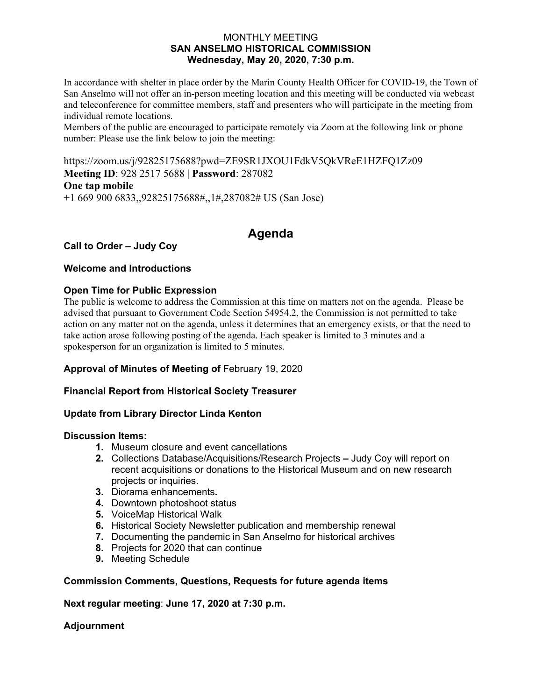#### MONTHLY MEETING **SAN ANSELMO HISTORICAL COMMISSION Wednesday, May 20, 2020, 7:30 p.m.**

In accordance with shelter in place order by the Marin County Health Officer for COVID-19, the Town of San Anselmo will not offer an in-person meeting location and this meeting will be conducted via webcast and teleconference for committee members, staff and presenters who will participate in the meeting from individual remote locations.

Members of the public are encouraged to participate remotely via Zoom at the following link or phone number: Please use the link below to join the meeting:

https://zoom.us/j/92825175688?pwd=ZE9SR1JXOU1FdkV5QkVReE1HZFQ1Zz09 **Meeting ID**: 928 2517 5688 | **Password**: 287082 **One tap mobile**  +1 669 900 6833,,92825175688#,,1#,287082# US (San Jose)

# **Agenda**

## **Call to Order – Judy Coy**

## **Welcome and Introductions**

#### **Open Time for Public Expression**

The public is welcome to address the Commission at this time on matters not on the agenda. Please be advised that pursuant to Government Code Section 54954.2, the Commission is not permitted to take action on any matter not on the agenda, unless it determines that an emergency exists, or that the need to take action arose following posting of the agenda. Each speaker is limited to 3 minutes and a spokesperson for an organization is limited to 5 minutes.

## **Approval of Minutes of Meeting of** February 19, 2020

## **Financial Report from Historical Society Treasurer**

## **Update from Library Director Linda Kenton**

#### **Discussion Items:**

- **1.** Museum closure and event cancellations
- **2.** Collections Database/Acquisitions/Research ProjectsJudy Coy will report on recent acquisitions or donations to the Historical Museum and on new research projects or inquiries.
- **3.** Diorama enhancements**.**
- **4.** Downtown photoshoot status
- **5.** VoiceMap Historical Walk
- **6.** Historical Society Newsletter publication and membership renewal
- **7.** Documenting the pandemic in San Anselmo for historical archives
- **8.** Projects for 2020 that can continue
- **9.** Meeting Schedule

#### **Commission Comments, Questions, Requests for future agenda items**

**Next regular meeting**: **June 17, 2020 at 7:30 p.m.** 

#### **Adjournment**